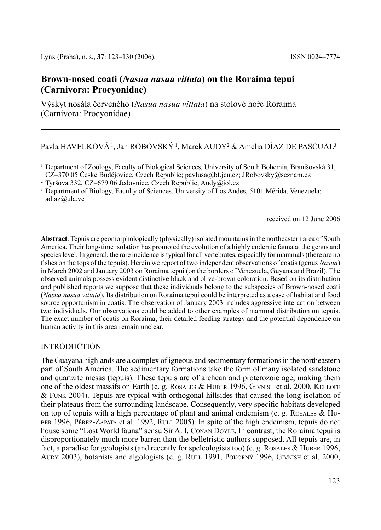# **Brown-nosed coati (***Nasua nasua vittata***) on the Roraima tepui (Carnivora: Procyonidae)**

Výskyt nosála červeného (*Nasua nasua vittata*) na stolové hoře Roraima (Carnivora: Procyonidae)

Pavla HAVELKOVA <sup>1</sup>, Jan ROBOVSKY <sup>1</sup>, Marek AUDY<sup>2</sup> & Amelia DÍAZ DE PASCUAL<sup>3</sup>

<sup>3</sup> Department of Biology, Faculty of Sciences, University of Los Andes, 5101 Mérida, Venezuela; adiaz@ula.ve

received on 12 June 2006

**Abstract**. Tepuis are geomorphologically (physically) isolated mountains in the northeastern area of South America. Their long-time isolation has promoted the evolution of a highly endemic fauna at the genus and species level. In general, the rare incidence is typical for all vertebrates, especially for mammals (there are no fishes on the tops of the tepuis). Herein we report of two independent observations of coatis (genus *Nasua*) in March 2002 and January 2003 on Roraima tepui (on the borders of Venezuela, Guyana and Brazil). The observed animals possess evident distinctive black and olive-brown coloration. Based on its distribution and published reports we suppose that these individuals belong to the subspecies of Brown-nosed coati (*Nasua nasua vittata*). Its distribution on Roraima tepui could be interpreted as a case of habitat and food source opportunism in coatis. The observation of January 2003 includes aggressive interaction between two individuals. Our observations could be added to other examples of mammal distribution on tepuis. The exact number of coatis on Roraima, their detailed feeding strategy and the potential dependence on human activity in this area remain unclear.

## INTRODUCTION

The Guayana highlands are a complex of igneous and sedimentary formations in the northeastern part of South America. The sedimentary formations take the form of many isolated sandstone and quartzite mesas (tepuis). These tepuis are of archean and proterozoic age, making them one of the oldest massifs on Earth (e. g. ROSALES & HUBER 1996, GIVNISH et al. 2000, KELLOFF & Funk 2004). Tepuis are typical with orthogonal hillsides that caused the long isolation of their plateaus from the surrounding landscape. Consequently, very specific habitats developed on top of tepuis with a high percentage of plant and animal endemism (e. g. Rosales  $\&$  Hu-BER 1996, PÉREZ-ZAPATA et al. 1992, RULL 2005). In spite of the high endemism, tepuis do not house some "Lost World fauna" sensu Sir A. I. Conan Doyle. In contrast, the Roraima tepui is disproportionately much more barren than the belletristic authors supposed. All tepuis are, in fact, a paradise for geologists (and recently for speleologists too) (e.g. ROSALES & HUBER 1996, Audy 2003), botanists and algologists (e. g. Rull 1991, Pokorný 1996, Givnish et al. 2000,

<sup>1</sup> Department of Zoology, Faculty of Biological Sciences, University of South Bohemia, Branišovská 31, CZ–370 05 České Budějovice, Czech Republic; pavlusa@bf.jcu.cz; JRobovsky@seznam.cz

<sup>2</sup> Tyršova 332, CZ–679 06 Jedovnice, Czech Republic; Audy@iol.cz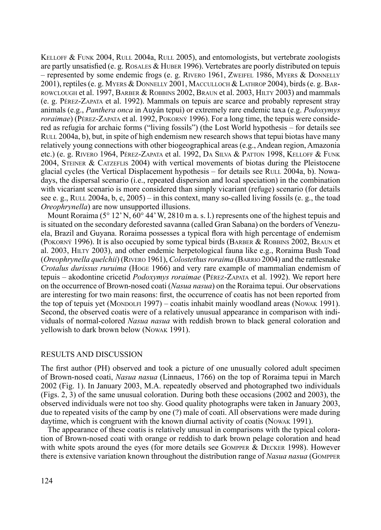KELLOFF & FUNK 2004, RULL 2004a, RULL 2005), and entomologists, but vertebrate zoologists are partly unsatisfied (e. g. Rosales & Huber 1996). Vertebrates are poorly distributed on tepuis – represented by some endemic frogs (e. g. RIVERO 1961, ZWEIFEL 1986, MYERS  $&$  DONNELLY 2001), reptiles (e. g. Myers & Donnelly 2001, Macculloch & Lathrop 2004), birds (e. g. Barrowclough et al. 1997, Barber & Robbins 2002, Braun et al. 2003, Hilty 2003) and mammals (e. g. Pérez-Zapata et al. 1992). Mammals on tepuis are scarce and probably represent stray animals (e.g., *Panthera onca* in Auyán tepui) or extremely rare endemic taxa (e.g. *Podoxymys roraimae*) (Pérez-Zapata et al. 1992, Pokorný 1996). For a long time, the tepuis were considered as refugia for archaic forms ("living fossils") (the Lost World hypothesis – for details see RULL 2004a, b), but, in spite of high endemism new research shows that tepui biotas have many relatively young connections with other biogeographical areas (e.g., Andean region, Amazonia etc.) (e. g. Rivero 1964, Pérez-Zapata et al. 1992, Da Silva & Patton 1998, Kelloff & Funk 2004, STEINER & CATZEFLIS 2004) with vertical movements of biotas during the Pleistocene glacial cycles (the Vertical Displacement hypothesis – for details see Rull  $2004a$ , b). Nowadays, the dispersal scenario (i.e., repeated dispersion and local speciation) in the combination with vicariant scenario is more considered than simply vicariant (refuge) scenario (for details see e. g., Rull 2004a, b, c,  $2005$ ) – in this context, many so-called living fossils (e. g., the toad *Oreophrynella*) are now unsupported illusions.

Mount Roraima ( $5^{\circ}$  12'N,  $60^{\circ}$  44'W, 2810 m a. s. l.) represents one of the highest tepuis and is situated on the secondary deforested savanna (called Gran Sabana) on the borders of Venezuela, Brazil and Guyana. Roraima possesses a typical flora with high percentage of endemism (Pokorný 1996). It is also occupied by some typical birds (Barber & Robbins 2002, Braun et al. 2003, Hilty 2003), and other endemic herpetological fauna like e.g., Roraima Bush Toad (*Oreophrynella quelchii*) (Rivero 1961), *Colostethusroraima* (Barrio 2004) and the rattlesnake *Crotalus durissus ruruima* (Hoge 1966) and very rare example of mammalian endemism of tepuis – akodontine cricetid *Podoxymys roraimae* (Pérez-Zapata et al. 1992). We report here on the occurrence of Brown-nosed coati (*Nasua nasua*) on the Roraima tepui. Our observations are interesting for two main reasons: first, the occurrence of coatis has not been reported from the top of tepuis yet (MONDOLFI 1997) – coatis inhabit mainly woodland areas (NOWAK 1991). Second, the observed coatis were of a relatively unusual appearance in comparison with individuals of normal-colored *Nasua nasua* with reddish brown to black general coloration and yellowish to dark brown below (Nowak 1991).

### RESULTS AND DISCUSSION

The first author (PH) observed and took a picture of one unusually colored adult specimen of Brown-nosed coati, *Nasua nasua* (Linnaeus, 1766) on the top of Roraima tepui in March 2002 (Fig. 1). In January 2003, M.A. repeatedly observed and photographed two individuals (Figs. 2, 3) of the same unusual coloration. During both these occasions (2002 and 2003), the observed individuals were not too shy. Good quality photographs were taken in January 2003, due to repeated visits of the camp by one (?) male of coati. All observations were made during daytime, which is congruent with the known diurnal activity of coatis (Nowak 1991).

The appearance of these coatis is relatively unusual in comparisons with the typical coloration of Brown-nosed coati with orange or reddish to dark brown pelage coloration and head with white spots around the eyes (for more details see GOMPPER  $&$  DECKER 1998). However there is extensive variation known throughout the distribution range of *Nasua nasua* (Gompper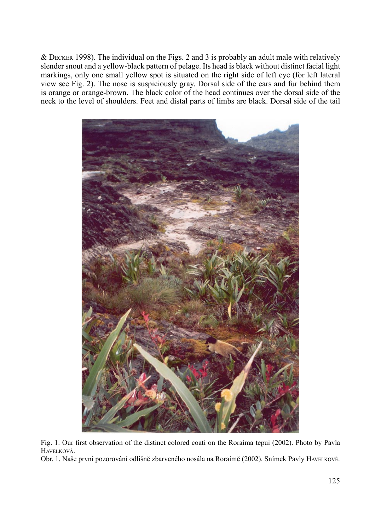$&$  DECKER 1998). The individual on the Figs. 2 and 3 is probably an adult male with relatively slender snout and a yellow-black pattern of pelage. Its head is black without distinct facial light markings, only one small yellow spot is situated on the right side of left eye (for left lateral view see Fig. 2). The nose is suspiciously gray. Dorsal side of the ears and fur behind them is orange or orange-brown. The black color of the head continues over the dorsal side of the neck to the level of shoulders. Feet and distal parts of limbs are black. Dorsal side of the tail



Fig. 1. Our first observation of the distinct colored coati on the Roraima tepui (2002). Photo by Pavla Havelková.

Obr. 1. Naše první pozorování odlišně zbarveného nosála na Roraimě (2002). Snímek Pavly Havelkové.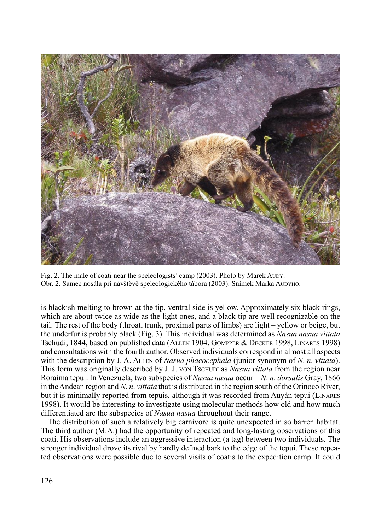

Fig. 2. The male of coati near the speleologists' camp (2003). Photo by Marek Aupy. Obr. 2. Samec nosála při návštěvě speleologického tábora (2003). Snímek Marka Audyho.

is blackish melting to brown at the tip, ventral side is yellow. Approximately six black rings, which are about twice as wide as the light ones, and a black tip are well recognizable on the tail. The rest of the body (throat, trunk, proximal parts of limbs) are light – yellow or beige, but the underfur is probably black (Fig. 3). This individual was determined as *Nasua nasua vittata* Tschudi, 1844, based on published data (Allen 1904, Gompper & Decker 1998, Linares 1998) and consultations with the fourth author. Observed individuals correspond in almost all aspects with the description by J. A. Allen of *Nasua phaeocephala* (junior synonym of *N*. *n*. *vittata*). This form was originally described by J. J. von Tschupi as *Nasua vittata* from the region near Roraima tepui. In Venezuela, two subspecies of *Nasua nasua* occur – *N*. *n*. *dorsalis* Gray, 1866 in the Andean region and *N*. *n*. *vittata* that is distributed in the region south of the Orinoco River, but it is minimally reported from tepuis, although it was recorded from Auyán tepui (Linares 1998). It would be interesting to investigate using molecular methods how old and how much differentiated are the subspecies of *Nasua nasua* throughout their range.

The distribution of such a relatively big carnivore is quite unexpected in so barren habitat. The third author (M.A.) had the opportunity of repeated and long-lasting observations of this coati. His observations include an aggressive interaction (a tag) between two individuals. The stronger individual drove its rival by hardly defined bark to the edge of the tepui. These repeated observations were possible due to several visits of coatis to the expedition camp. It could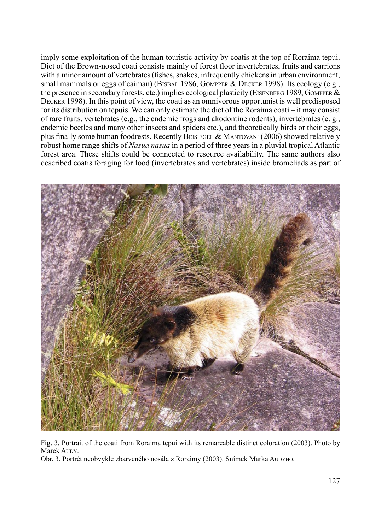imply some exploitation of the human touristic activity by coatis at the top of Roraima tepui. Diet of the Brown-nosed coati consists mainly of forest floor invertebrates, fruits and carrions with a minor amount of vertebrates (fishes, snakes, infrequently chickens in urban environment, small mammals or eggs of caiman) (Bisbal 1986, GOMPPER & DECKER 1998). Its ecology (e.g., the presence in secondary forests, etc.) implies ecological plasticity (EISENBERG 1989, GOMPPER  $\&$ Decker 1998). In this point of view, the coati as an omnivorous opportunist is well predisposed for its distribution on tepuis. We can only estimate the diet of the Roraima coati – it may consist of rare fruits, vertebrates (e.g., the endemic frogs and akodontine rodents), invertebrates (e. g., endemic beetles and many other insects and spiders etc.), and theoretically birds or their eggs, plus finally some human foodrests. Recently BEISIEGEL & MANTOVANI (2006) showed relatively robust home range shifts of *Nasua nasua* in a period of three years in a pluvial tropical Atlantic forest area. These shifts could be connected to resource availability. The same authors also described coatis foraging for food (invertebrates and vertebrates) inside bromeliads as part of



Fig. 3. Portrait of the coati from Roraima tepui with its remarcable distinct coloration (2003). Photo by Marek Aupy.

Obr. 3. Portrét neobvykle zbarveného nosála z Roraimy (2003). Snímek Marka AUDYHO.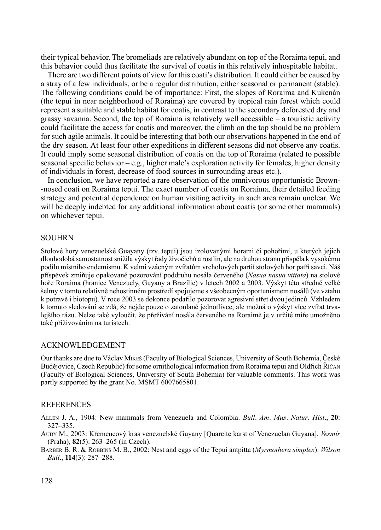their typical behavior. The bromeliads are relatively abundant on top of the Roraima tepui, and this behavior could thus facilitate the survival of coatis in this relatively inhospitable habitat.

There are two different points of view for this coati's distribution. It could either be caused by a stray of a few individuals, or be a regular distribution, either seasonal or permanent (stable). The following conditions could be of importance: First, the slopes of Roraima and Kukenán (the tepui in near neighborhood of Roraima) are covered by tropical rain forest which could represent a suitable and stable habitat for coatis, in contrast to the secondary deforested dry and grassy savanna. Second, the top of Roraima is relatively well accessible – a touristic activity could facilitate the access for coatis and moreover, the climb on the top should be no problem for such agile animals. It could be interesting that both our observations happened in the end of the dry season. At least four other expeditions in different seasons did not observe any coatis. It could imply some seasonal distribution of coatis on the top of Roraima (related to possible seasonal specific behavior – e.g., higher male's exploration activity for females, higher density of individuals in forest, decrease of food sources in surrounding areas etc.).

In conclusion, we have reported a rare observation of the omnivorous opportunistic Brown- -nosed coati on Roraima tepui. The exact number of coatis on Roraima, their detailed feeding strategy and potential dependence on human visiting activity in such area remain unclear. We will be deeply indebted for any additional information about coatis (or some other mammals) on whichever tepui.

#### **SOUHRN**

Stolové hory venezuelské Guayany (tzv. tepui) jsou izolovanými horami či pohořími, u kterých jejich dlouhodobá samostatnost snížila výskyt řady živočichů a rostlin, ale na druhou stranu přispěla k vysokému podílu místního endemismu. K velmi vzácným zvířatům vrcholových partií stolových hor patří savci. Náš příspěvek zmiňuje opakované pozorování poddruhu nosála červeného (*Nasua nasua vittata*) na stolové hoře Roraima (hranice Venezuely, Guyany a Brazílie) v letech 2002 a 2003. Výskyt této středně velké šelmy v tomto relativně nehostinném prostředí spojujeme s všeobecným oportunismem nosálů (ve vztahu k potravě i biotopu). V roce 2003 se dokonce podařilo pozorovat agresivní střet dvou jedinců. Vzhledem k tomuto sledování se zdá, že nejde pouze o zatoulané jednotlivce, ale možná o výskyt více zvířat trvalejšího rázu. Nelze také vyloučit, že přežívání nosála červeného na Roraimě je v určité míře umožněno také přiživováním na turistech.

#### ACKNOWLEDGEMENT

Our thanks are due to Václav Mikeš (Faculty of Biological Sciences, University of South Bohemia, České Budějovice, Czech Republic) for some ornithological information from Roraima tepui and Oldřich Říčan (Faculty of Biological Sciences, University of South Bohemia) for valuable comments. This work was partly supported by the grant No. MSMT 6007665801.

#### **REFERENCES**

Allen J. A., 1904: New mammals from Venezuela and Colombia. *Bull*. *Am*. *Mus*. *Natur*. *Hist*., **20**: 327–335.

Audy M., 2003: Křemencový kras venezuelské Guyany [Quarcite karst of Venezuelan Guyana]. *Vesmír* (Praha), **82**(5): 263–265 (in Czech).

Barber B. R. & Robbins M. B., 2002: Nest and eggs of the Tepui antpitta (*Myrmothera simplex*). *Wilson Bull*., **114**(3): 287–288.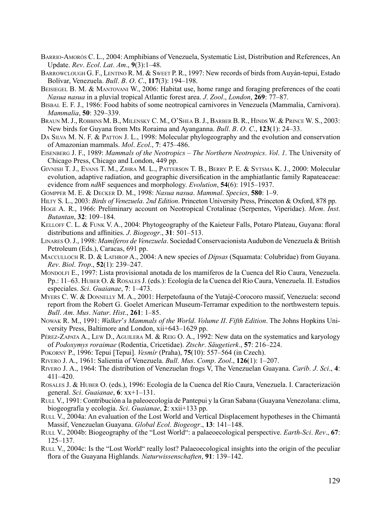- Barrio-Amorós C. L., 2004: Amphibians of Venezuela, Systematic List, Distribution and References, An Update. *Rev*. *Ecol*. *Lat*. *Am*., **9**(3):1–48.
- Barrowclough G. F., Lentino R. M. & Sweet P. R., 1997: New records of birds from Auyán-tepui, Estado Bolívar, Venezuela. *Bull*. *B*. *O*. *C*., **117**(3): 194–198.
- Beisiegel B. M. & Mantovani W., 2006: Habitat use, home range and foraging preferences of the coati *Nasua nasua* in a pluvial tropical Atlantic forest area. *J*. *Zool*., *London*, **269**: 77–87.
- Bisbal E. F. J., 1986: Food habits of some neotropical carnivores in Venezuela (Mammalia, Carnivora). *Mammalia*, **50**: 329–339.
- Braun M. J., Robbins M. B., Milensky C. M., O'Shea B. J., Barber B. R., Hinds W. & Prince W. S., 2003: New birds for Guyana from Mts Roraima and Ayanganna. *Bull*. *B*. *O*. *C*., **123**(1): 24–33.
- DA SILVA M. N. F. & PATTON J. L., 1998: Molecular phylogeography and the evolution and conservation of Amazonian mammals. *Mol*. *Ecol*., **7**: 475–486.
- Eisenberg J. F., 1989: *Mammals of the Neotropics – The Northern Neotropics*. *Vol*. *1*. The University of Chicago Press, Chicago and London, 449 pp.
- Givnish T. J., Evans T. M., Zjhra M. L., Patterson T. B., Berry P. E. & Sytsma K. J., 2000: Molecular evolution, adaptive radiation, and geographic diversification in the amphiatlantic family Rapateaceae: evidence from *ndh*F sequences and morphology. *Evolution*, **54**(6): 1915–1937.
- Gompper M. E. & Decker D. M., 1998: *Nasua nasua*. *Mammal*. *Species*, **580**: 1–9.
- Hilty S. L., 2003: *Birds of Venezuela*. *2nd Edition*. Princeton University Press, Princeton & Oxford, 878 pp.
- Hoge A. R., 1966: Preliminary account on Neotropical Crotalinae (Serpentes, Viperidae). *Mem*. *Inst*. *Butantan*, **32**: 109–184.
- Kelloff C. L. & Funk V. A., 2004: Phytogeography of the Kaieteur Falls, Potaro Plateau, Guyana: floral distributions and affinities. *J*. *Biogeogr*., **31**: 501–513.
- Linares O. J., 1998: *Mamíferos de Venezuela*. Sociedad Conservacionista Audubon de Venezuela & British Petroleum (Eds.), Caracas, 691 pp.
- Macculloch R. D. & Lathrop A., 2004: A new species of *Dipsas* (Squamata: Colubridae) from Guyana. *Rev*. *Biol*. *Trop*., **52**(1): 239–247.
- Mondolfi E., 1997: Lista provisional anotada de los mamíferos de la Cuenca del Río Caura, Venezuela. Pp.: 11–63. Huber O. & Rosales J. (eds.): Ecología de la Cuenca del Río Caura, Venezuela. II. Estudios especiales. *Sci*. *Guaianae*, **7**: 1–473.
- Myers C. W. & Donnelly M. A., 2001: Herpetofauna of the Yutajé-Corocoro massif, Venezuela: second report from the Robert G. Goelet American Museum-Terramar expedition to the northwestern tepuis. *Bull*. *Am*. *Mus*. *Natur*. *Hist*., **261**: 1–85.
- Nowak R. M., 1991: *Walker*'*s Mammals of the World*. *Volume II*. *Fifth Edition*. The Johns Hopkins University Press, Baltimore and London, xii+643–1629 pp.
- PÉREZ-ZAPATA A., LEW D., AGUILERA M. & REIG O. A., 1992: New data on the systematics and karyology of *Podoxymys roraimae* (Rodentia, Cricetidae). *Ztschr*. *Säugetierk*., **57**: 216–224.
- Pokorný P., 1996: Tepui [Tepui]. *Vesmír* (Praha), **75**(10): 557–564 (in Czech).
- Rivero J. A., 1961: Salientia of Venezuela. *Bull*. *Mus*. *Comp*. *Zool*., **126**(1): 1–207.
- Rivero J. A., 1964: The distribution of Venezuelan frogs V, The Venezuelan Guayana. *Carib*. *J*. *Sci*., **4**: 411–420.
- Rosales J. & Huber O. (eds.), 1996: Ecología de la Cuenca del Río Caura, Venezuela. I. Caracterización general. *Sci*. *Guaianae*, **6**: xx+1–131.
- Rull V., 1991: Contribución a la paleoecología de Pantepui y la Gran Sabana (Guayana Venezolana: clima, biogeografía y ecología. *Sci*. *Guaianae*, **2**: xxii+133 pp.
- Rull V., 2004a: An evaluation of the Lost World and Vertical Displacement hypotheses in the Chimantá Massif, Venezuelan Guayana. *Global Ecol*. *Biogeogr*., **13**: 141–148.
- Rull V., 2004b: Biogeography of the "Lost World": a palaeoecological perspective. *Earth-Sci*. *Rev*., **67**: 125–137.
- RULL V., 2004c: Is the "Lost World" really lost? Palaeoecological insights into the origin of the peculiar flora of the Guayana Highlands. *Naturwissenschaften*, **91**: 139–142.